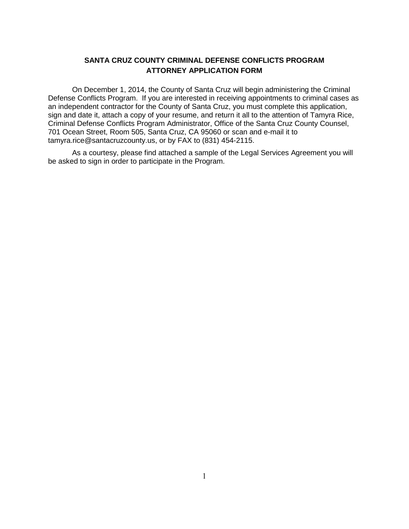## **SANTA CRUZ COUNTY CRIMINAL DEFENSE CONFLICTS PROGRAM ATTORNEY APPLICATION FORM**

On December 1, 2014, the County of Santa Cruz will begin administering the Criminal Defense Conflicts Program. If you are interested in receiving appointments to criminal cases as an independent contractor for the County of Santa Cruz, you must complete this application, sign and date it, attach a copy of your resume, and return it all to the attention of Tamyra Rice, Criminal Defense Conflicts Program Administrator, Office of the Santa Cruz County Counsel, 701 Ocean Street, Room 505, Santa Cruz, CA 95060 or scan and e-mail it to tamyra.rice@santacruzcounty.us, or by FAX to (831) 454-2115.

As a courtesy, please find attached a sample of the Legal Services Agreement you will be asked to sign in order to participate in the Program.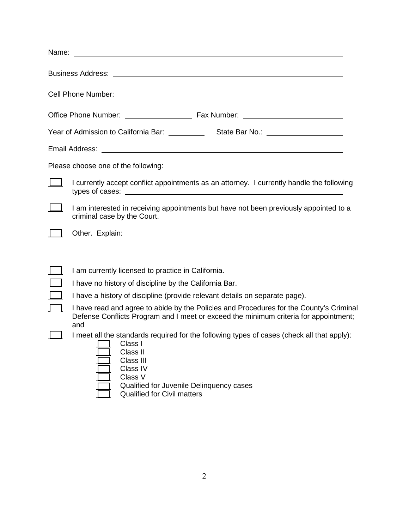| Name: when the contract of the contract of the contract of the contract of the contract of the contract of the contract of the contract of the contract of the contract of the contract of the contract of the contract of the          |
|-----------------------------------------------------------------------------------------------------------------------------------------------------------------------------------------------------------------------------------------|
|                                                                                                                                                                                                                                         |
| Cell Phone Number: ____________________                                                                                                                                                                                                 |
|                                                                                                                                                                                                                                         |
|                                                                                                                                                                                                                                         |
| Email Address: <u>Communication</u> Communication of the Communication Communication Communication Communication Communication Communication Communication Communication Communication Communication Communication Communication Co     |
| Please choose one of the following:                                                                                                                                                                                                     |
| I currently accept conflict appointments as an attorney. I currently handle the following                                                                                                                                               |
| I am interested in receiving appointments but have not been previously appointed to a<br>criminal case by the Court.                                                                                                                    |
| Other. Explain:                                                                                                                                                                                                                         |
| I am currently licensed to practice in California.<br>I have no history of discipline by the California Bar.                                                                                                                            |
| I have a history of discipline (provide relevant details on separate page).                                                                                                                                                             |
| I have read and agree to abide by the Policies and Procedures for the County's Criminal<br>Defense Conflicts Program and I meet or exceed the minimum criteria for appointment;<br>and                                                  |
| I meet all the standards required for the following types of cases (check all that apply):<br>Class I<br>Class II<br>Class III<br>Class IV<br>Class V<br>Qualified for Juvenile Delinquency cases<br><b>Qualified for Civil matters</b> |

Qualified for Civil matters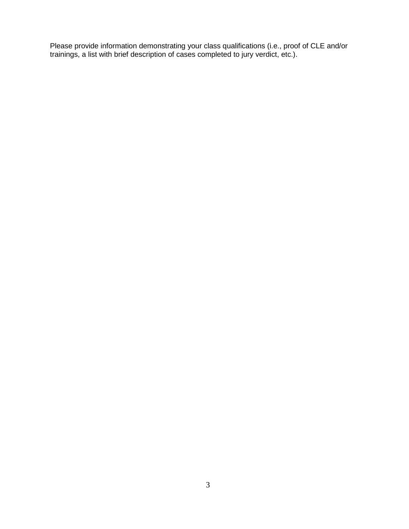Please provide information demonstrating your class qualifications (i.e., proof of CLE and/or trainings, a list with brief description of cases completed to jury verdict, etc.).